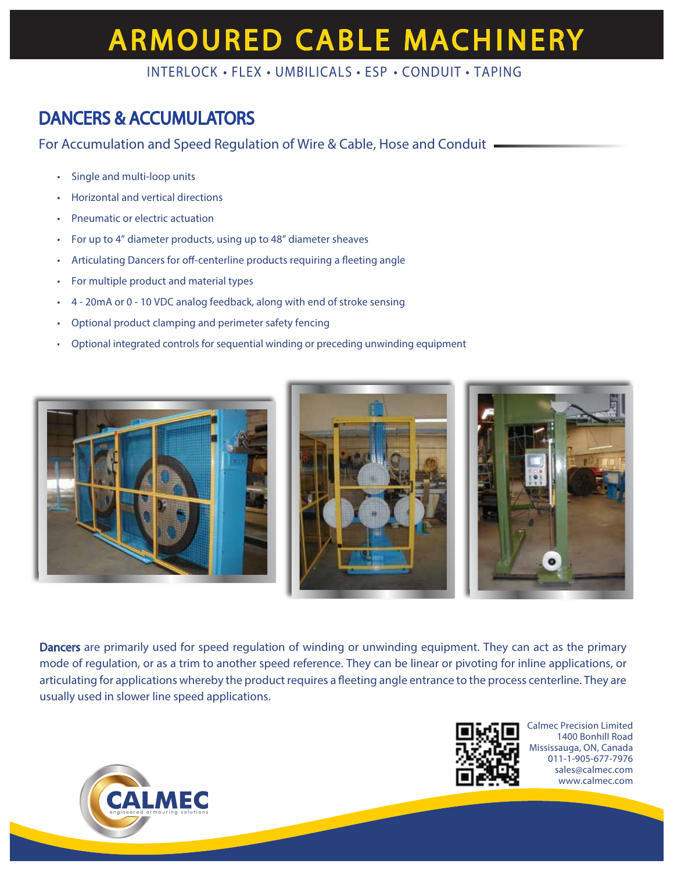# **ARMOURED CABLE MACHINERY**

INTERLOCK • FLEX • UMBILICALS • ESP • CONDUIT • TAPING

### DANCERS & ACCUMULATORS

For Accumulation and Speed Regulation of Wire & Cable, Hose and Conduit

- Single and multi-loop units
- Horizontal and vertical directions
- Pneumatic or electric actuation
- For up to 4" diameter products, using up to 48" diameter sheaves
- Articulating Dancers for off-centerline products requiring a fleeting angle
- For multiple product and material types
- 4 20mA or 0 10 VDC analog feedback, along with end of stroke sensing
- Optional product clamping and perimeter safety fencing
- Optional integrated controls for sequential winding or preceding unwinding equipment



Dancers are primarily used for speed regulation of winding or unwinding equipment. They can act as the primary mode of regulation, or as a trim to another speed reference. They can be linear or pivoting for inline applications, or articulating for applications whereby the product requires a fleeting angle entrance to the process centerline. They are usually used in slower line speed applications.





Calmec Precision Limited 1400 Bonhill Road Mississauga, ON, Canada 011-1-905-677-7976 sales@calmec.com www.calmec.com